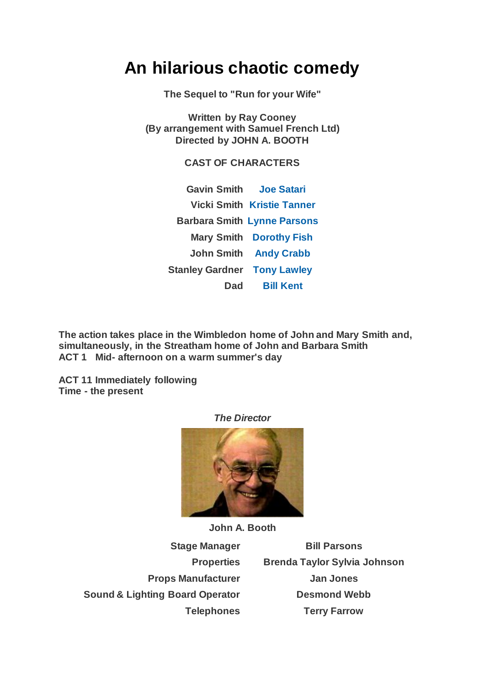## **An hilarious chaotic comedy**

**The Sequel to "Run for your Wife"**

**Written by Ray Cooney (By arrangement with Samuel French Ltd) Directed by JOHN A. BOOTH**

**CAST OF CHARACTERS**

**Gavin Smith [Joe Satari](https://www.carelinetheatre.com/pastprods/caughtinthenet.php#Joe) Vicki Smith [Kristie Tanner](https://www.carelinetheatre.com/pastprods/caughtinthenet.php#Kristie) Barbara Smith [Lynne Parsons](https://www.carelinetheatre.com/pastprods/caughtinthenet.php#Lynne) Mary Smith [Dorothy Fish](https://www.carelinetheatre.com/pastprods/caughtinthenet.php#Dorothy) John Smith [Andy Crabb](https://www.carelinetheatre.com/pastprods/caughtinthenet.php#Andy) Stanley Gardner [Tony Lawley](https://www.carelinetheatre.com/pastprods/caughtinthenet.php#Tony) Dad [Bill Kent](https://www.carelinetheatre.com/pastprods/caughtinthenet.php#Bill)**

**The action takes place in the Wimbledon home of John and Mary Smith and, simultaneously, in the Streatham home of John and Barbara Smith ACT 1 Mid- afternoon on a warm summer's day**

**ACT 11 Immediately following Time - the present**



**John A. Booth**

**Sound & Lighting Board Operator <b>Desmond Webb** 

**Stage Manager Bill Parsons Properties Brenda Taylor Sylvia Johnson Props Manufacturer Jan Jones Telephones Terry Farrow**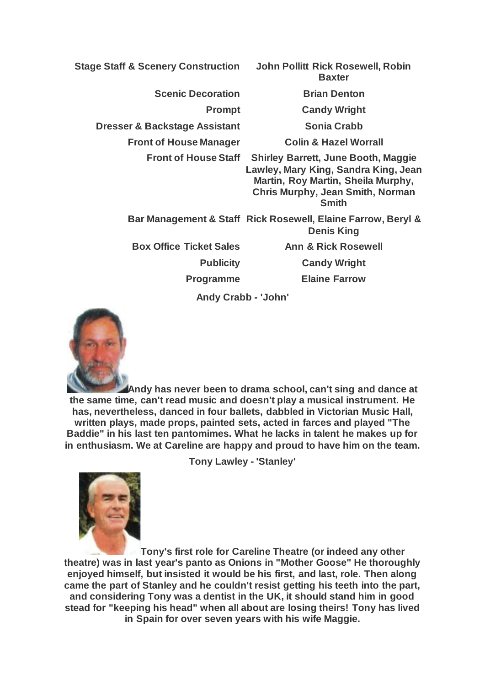**Stage Staff & Scenery Construction John Pollitt Rick Rosewell, Robin Baxter Scenic Decoration Brian Denton Prompt Candy Wright Dresser & Backstage Assistant Sonia Crabb Front of House Manager Colin & Hazel Worrall Front of House Staff Shirley Barrett, June Booth, Maggie Lawley, Mary King, Sandra King, Jean Martin, Roy Martin, Sheila Murphy, Chris Murphy, Jean Smith, Norman Smith Bar Management & Staff Rick Rosewell, Elaine Farrow, Beryl & Denis King Box Office Ticket Sales Ann & Rick Rosewell Publicity Candy Wright Programme Elaine Farrow Andy Crabb - 'John'**



**Andy has never been to drama school, can't sing and dance at the same time, can't read music and doesn't play a musical instrument. He has, nevertheless, danced in four ballets, dabbled in Victorian Music Hall, written plays, made props, painted sets, acted in farces and played "The Baddie" in his last ten pantomimes. What he lacks in talent he makes up for in enthusiasm. We at Careline are happy and proud to have him on the team.**

**Tony Lawley - 'Stanley'**



**Tony's first role for Careline Theatre (or indeed any other theatre) was in last year's panto as Onions in "Mother Goose" He thoroughly enjoyed himself, but insisted it would be his first, and last, role. Then along came the part of Stanley and he couldn't resist getting his teeth into the part, and considering Tony was a dentist in the UK, it should stand him in good stead for "keeping his head" when all about are losing theirs! Tony has lived in Spain for over seven years with his wife Maggie.**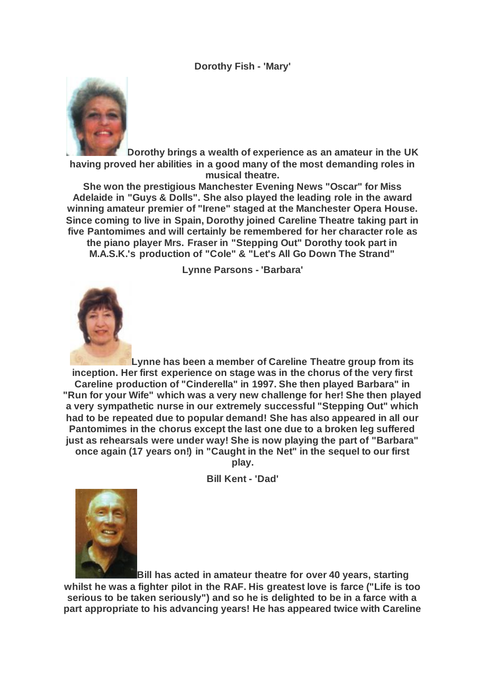**Dorothy Fish - 'Mary'**



**Dorothy brings a wealth of experience as an amateur in the UK having proved her abilities in a good many of the most demanding roles in musical theatre.**

**She won the prestigious Manchester Evening News "Oscar" for Miss Adelaide in "Guys & Dolls". She also played the leading role in the award winning amateur premier of "Irene" staged at the Manchester Opera House. Since coming to live in Spain, Dorothy joined Careline Theatre taking part in five Pantomimes and will certainly be remembered for her character role as** 

**the piano player Mrs. Fraser in "Stepping Out" Dorothy took part in M.A.S.K.'s production of "Cole" & "Let's All Go Down The Strand"**

**Lynne Parsons - 'Barbara'**



**Lynne has been a member of Careline Theatre group from its inception. Her first experience on stage was in the chorus of the very first Careline production of "Cinderella" in 1997. She then played Barbara" in "Run for your Wife" which was a very new challenge for her! She then played a very sympathetic nurse in our extremely successful "Stepping Out" which had to be repeated due to popular demand! She has also appeared in all our Pantomimes in the chorus except the last one due to a broken leg suffered just as rehearsals were under way! She is now playing the part of "Barbara" once again (17 years on!) in "Caught in the Net" in the sequel to our first** 

**play.**

**Bill Kent - 'Dad'**



**Bill has acted in amateur theatre for over 40 years, starting whilst he was a fighter pilot in the RAF. His greatest love is farce ("Life is too serious to be taken seriously") and so he is delighted to be in a farce with a part appropriate to his advancing years! He has appeared twice with Careline**